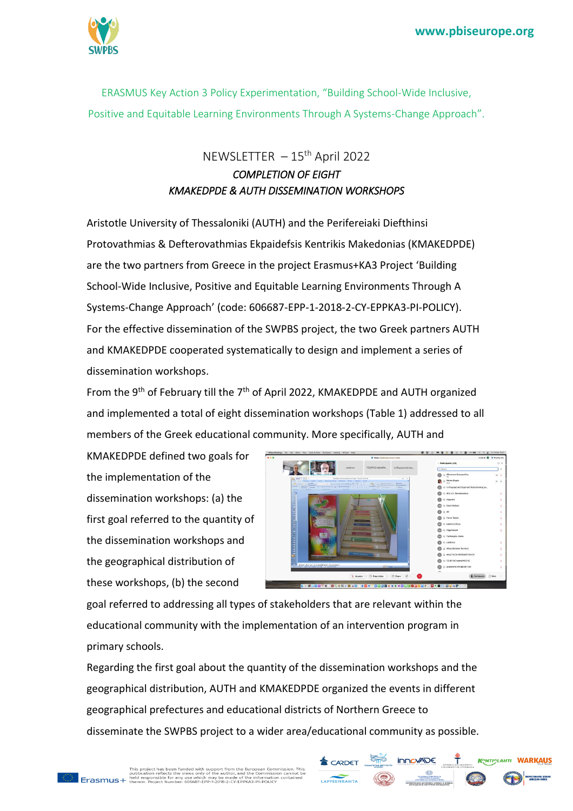

ERASMUS Key Action 3 Policy Experimentation, "Building School-Wide Inclusive, Positive and Equitable Learning Environments Through A Systems-Change Approach".

## $NEWSLETTER - 15<sup>th</sup>$  April 2022 *COMPLETION OF EIGHT KMAKEDPDE & AUTH DISSEMINATION WORKSHOPS*

Aristotle University of Thessaloniki (AUTH) and the Perifereiaki Diefthinsi Protovathmias & Defterovathmias Ekpaidefsis Kentrikis Makedonias (KMAKEDPDE) are the two partners from Greece in the project Erasmus+KA3 Project 'Building School-Wide Inclusive, Positive and Equitable Learning Environments Through A Systems-Change Approach' (code: 606687-EPP-1-2018-2-CY-EPPKA3-PI-POLICY). For the effective dissemination of the SWPBS project, the two Greek partners AUTH and KMAKEDPDE cooperated systematically to design and implement a series of dissemination workshops.

From the 9<sup>th</sup> of February till the 7<sup>th</sup> of April 2022, KMAKEDPDE and AUTH organized and implemented a total of eight dissemination workshops (Table 1) addressed to all members of the Greek educational community. More specifically, AUTH and

KMAKEDPDE defined two goals for the implementation of the dissemination workshops: (a) the first goal referred to the quantity of the dissemination workshops and the geographical distribution of these workshops, (b) the second



KONTICLAHTI WARKAUS

**innovADE** 

goal referred to addressing all types of stakeholders that are relevant within the educational community with the implementation of an intervention program in primary schools.

Regarding the first goal about the quantity of the dissemination workshops and the geographical distribution, AUTH and KMAKEDPDE organized the events in different geographical prefectures and educational districts of Northern Greece to disseminate the SWPBS project to a wider area/educational community as possible.

CARDET